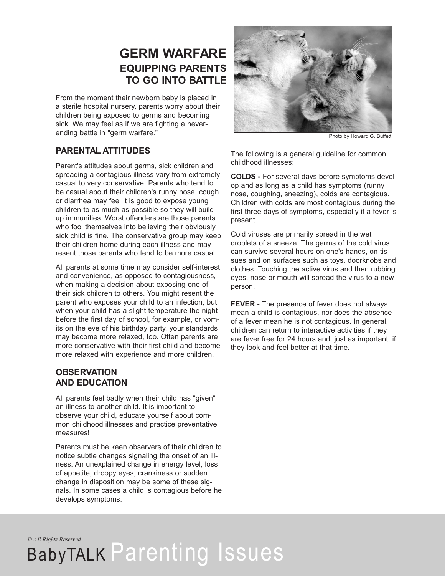# **GERM WARFARE EQUIPPING PARENTS TO GO INTO BATTLE**

From the moment their newborn baby is placed in a sterile hospital nursery, parents worry about their children being exposed to germs and becoming sick. We may feel as if we are fighting a neverending battle in "germ warfare."

# **PARENTAL ATTITUDES**

Parent's attitudes about germs, sick children and spreading a contagious illness vary from extremely casual to very conservative. Parents who tend to be casual about their children's runny nose, cough or diarrhea may feel it is good to expose young children to as much as possible so they will build up immunities. Worst offenders are those parents who fool themselves into believing their obviously sick child is fine. The conservative group may keep their children home during each illness and may resent those parents who tend to be more casual.

All parents at some time may consider self-interest and convenience, as opposed to contagiousness, when making a decision about exposing one of their sick children to others. You might resent the parent who exposes your child to an infection, but when your child has a slight temperature the night before the first day of school, for example, or vomits on the eve of his birthday party, your standards may become more relaxed, too. Often parents are more conservative with their first child and become more relaxed with experience and more children.

# **OBSERVATION AND EDUCATION**

All parents feel badly when their child has "given" an illness to another child. It is important to observe your child, educate yourself about common childhood illnesses and practice preventative measures!

Parents must be keen observers of their children to notice subtle changes signaling the onset of an illness. An unexplained change in energy level, loss of appetite, droopy eyes, crankiness or sudden change in disposition may be some of these signals. In some cases a child is contagious before he develops symptoms.



Photo by Howard G. Buffett

The following is a general guideline for common childhood illnesses:

**COLDS -** For several days before symptoms develop and as long as a child has symptoms (runny nose, coughing, sneezing), colds are contagious. Children with colds are most contagious during the first three days of symptoms, especially if a fever is present.

Cold viruses are primarily spread in the wet droplets of a sneeze. The germs of the cold virus can survive several hours on one's hands, on tissues and on surfaces such as toys, doorknobs and clothes. Touching the active virus and then rubbing eyes, nose or mouth will spread the virus to a new person.

**FEVER -** The presence of fever does not always mean a child is contagious, nor does the absence of a fever mean he is not contagious. In general, children can return to interactive activities if they are fever free for 24 hours and, just as important, if they look and feel better at that time.

*© All Rights Reserved*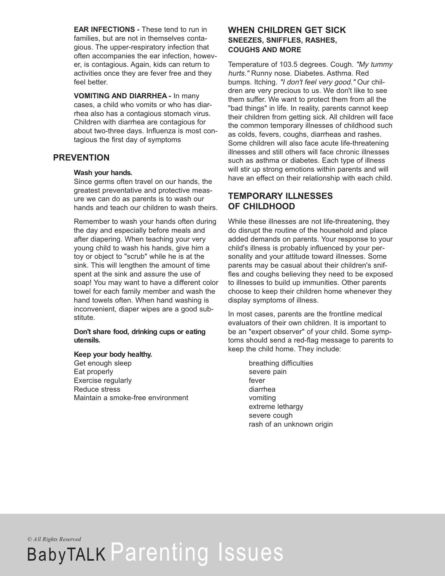**EAR INFECTIONS -** These tend to run in families, but are not in themselves contagious. The upper-respiratory infection that often accompanies the ear infection, however, is contagious. Again, kids can return to activities once they are fever free and they feel better.

**VOMITING AND DIARRHEA -** In many cases, a child who vomits or who has diarrhea also has a contagious stomach virus. Children with diarrhea are contagious for about two-three days. Influenza is most contagious the first day of symptoms

### **PREVENTION**

### **Wash your hands.**

Since germs often travel on our hands, the greatest preventative and protective measure we can do as parents is to wash our hands and teach our children to wash theirs.

Remember to wash your hands often during the day and especially before meals and after diapering. When teaching your very young child to wash his hands, give him a toy or object to "scrub" while he is at the sink. This will lengthen the amount of time spent at the sink and assure the use of soap! You may want to have a different color towel for each family member and wash the hand towels often. When hand washing is inconvenient, diaper wipes are a good substitute.

#### **Don't share food, drinking cups or eating utensils.**

#### **Keep your body healthy.**

Get enough sleep Eat properly Exercise regularly Reduce stress Maintain a smoke-free environment

# **WHEN CHILDREN GET SICK SNEEZES, SNIFFLES, RASHES, COUGHS AND MORE**

Temperature of 103.5 degrees. Cough. "My tummy hurts." Runny nose. Diabetes. Asthma. Red bumps. Itching. "I don't feel very good." Our children are very precious to us. We don't like to see them suffer. We want to protect them from all the "bad things" in life. In reality, parents cannot keep their children from getting sick. All children will face the common temporary illnesses of childhood such as colds, fevers, coughs, diarrheas and rashes. Some children will also face acute life-threatening illnesses and still others will face chronic illnesses such as asthma or diabetes. Each type of illness will stir up strong emotions within parents and will have an effect on their relationship with each child.

# **TEMPORARY ILLNESSES OF CHILDHOOD**

While these illnesses are not life-threatening, they do disrupt the routine of the household and place added demands on parents. Your response to your child's illness is probably influenced by your personality and your attitude toward illnesses. Some parents may be casual about their children's sniffles and coughs believing they need to be exposed to illnesses to build up immunities. Other parents choose to keep their children home whenever they display symptoms of illness.

In most cases, parents are the frontline medical evaluators of their own children. It is important to be an "expert observer" of your child. Some symptoms should send a red-flag message to parents to keep the child home. They include:

> breathing difficulties severe pain fever diarrhea vomiting extreme lethargy severe cough rash of an unknown origin

*© All Rights Reserved*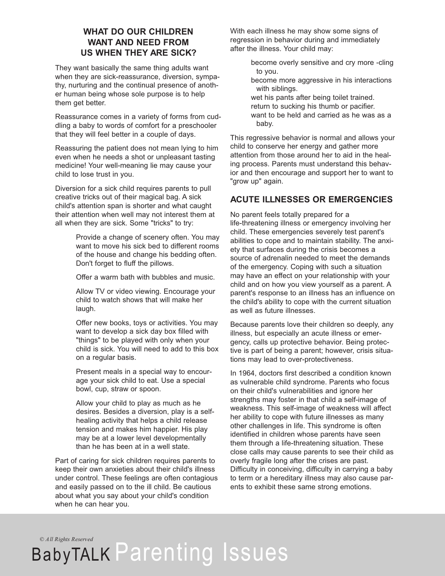### **WHAT DO OUR CHILDREN WANT AND NEED FROM US WHEN THEY ARE SICK?**

They want basically the same thing adults want when they are sick-reassurance, diversion, sympathy, nurturing and the continual presence of another human being whose sole purpose is to help them get better.

Reassurance comes in a variety of forms from cuddling a baby to words of comfort for a preschooler that they will feel better in a couple of days.

Reassuring the patient does not mean lying to him even when he needs a shot or unpleasant tasting medicine! Your well-meaning lie may cause your child to lose trust in you.

Diversion for a sick child requires parents to pull creative tricks out of their magical bag. A sick child's attention span is shorter and what caught their attention when well may not interest them at all when they are sick. Some "tricks" to try:

> Provide a change of scenery often. You may want to move his sick bed to different rooms of the house and change his bedding often. Don't forget to fluff the pillows.

Offer a warm bath with bubbles and music.

Allow TV or video viewing. Encourage your child to watch shows that will make her laugh.

Offer new books, toys or activities. You may want to develop a sick day box filled with "things" to be played with only when your child is sick. You will need to add to this box on a regular basis.

Present meals in a special way to encourage your sick child to eat. Use a special bowl, cup, straw or spoon.

Allow your child to play as much as he desires. Besides a diversion, play is a selfhealing activity that helps a child release tension and makes him happier. His play may be at a lower level developmentally than he has been at in a well state.

Part of caring for sick children requires parents to keep their own anxieties about their child's illness under control. These feelings are often contagious and easily passed on to the ill child. Be cautious about what you say about your child's condition when he can hear you.

With each illness he may show some signs of regression in behavior during and immediately after the illness. Your child may:

> become overly sensitive and cry more -cling to you.

become more aggressive in his interactions with siblings.

wet his pants after being toilet trained. return to sucking his thumb or pacifier. want to be held and carried as he was as a baby.

This regressive behavior is normal and allows your child to conserve her energy and gather more attention from those around her to aid in the healing process. Parents must understand this behavior and then encourage and support her to want to "grow up" again.

# **ACUTE ILLNESSES OR EMERGENCIES**

No parent feels totally prepared for a life-threatening illness or emergency involving her child. These emergencies severely test parent's abilities to cope and to maintain stability. The anxiety that surfaces during the crisis becomes a source of adrenalin needed to meet the demands of the emergency. Coping with such a situation may have an effect on your relationship with your child and on how you view yourself as a parent. A parent's response to an illness has an influence on the child's ability to cope with the current situation as well as future illnesses.

Because parents love their children so deeply, any illness, but especially an acute illness or emergency, calls up protective behavior. Being protective is part of being a parent; however, crisis situations may lead to over-protectiveness.

In 1964, doctors first described a condition known as vulnerable child syndrome. Parents who focus on their child's vulnerabilities and ignore her strengths may foster in that child a self-image of weakness. This self-image of weakness will affect her ability to cope with future illnesses as many other challenges in life. This syndrome is often identified in children whose parents have seen them through a life-threatening situation. These close calls may cause parents to see their child as overly fragile long after the crises are past. Difficulty in conceiving, difficulty in carrying a baby to term or a hereditary illness may also cause parents to exhibit these same strong emotions.

*© All Rights Reserved*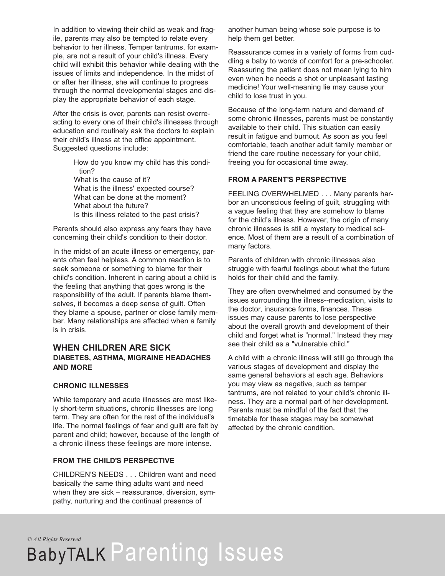In addition to viewing their child as weak and fragile, parents may also be tempted to relate every behavior to her illness. Temper tantrums, for example, are not a result of your child's illness. Every child will exhibit this behavior while dealing with the issues of limits and independence. In the midst of or after her illness, she will continue to progress through the normal developmental stages and display the appropriate behavior of each stage.

After the crisis is over, parents can resist overreacting to every one of their child's illnesses through education and routinely ask the doctors to explain their child's illness at the office appointment. Suggested questions include:

> How do you know my child has this condition? What is the cause of it? What is the illness' expected course? What can be done at the moment? What about the future? Is this illness related to the past crisis?

Parents should also express any fears they have concerning their child's condition to their doctor.

In the midst of an acute illness or emergency, parents often feel helpless. A common reaction is to seek someone or something to blame for their child's condition. Inherent in caring about a child is the feeling that anything that goes wrong is the responsibility of the adult. If parents blame themselves, it becomes a deep sense of guilt. Often they blame a spouse, partner or close family member. Many relationships are affected when a family is in crisis.

### **WHEN CHILDREN ARE SICK DIABETES, ASTHMA, MIGRAINE HEADACHES AND MORE**

### **CHRONIC ILLNESSES**

While temporary and acute illnesses are most likely short-term situations, chronic illnesses are long term. They are often for the rest of the individual's life. The normal feelings of fear and guilt are felt by parent and child; however, because of the length of a chronic illness these feelings are more intense.

### **FROM THE CHILD'S PERSPECTIVE**

CHILDREN'S NEEDS . . . Children want and need basically the same thing adults want and need when they are sick – reassurance, diversion, sympathy, nurturing and the continual presence of

another human being whose sole purpose is to help them get better.

Reassurance comes in a variety of forms from cuddling a baby to words of comfort for a pre-schooler. Reassuring the patient does not mean lying to him even when he needs a shot or unpleasant tasting medicine! Your well-meaning lie may cause your child to lose trust in you.

Because of the long-term nature and demand of some chronic illnesses, parents must be constantly available to their child. This situation can easily result in fatigue and burnout. As soon as you feel comfortable, teach another adult family member or friend the care routine necessary for your child, freeing you for occasional time away.

### **FROM A PARENT'S PERSPECTIVE**

FEELING OVERWHELMED . . . Many parents harbor an unconscious feeling of guilt, struggling with a vague feeling that they are somehow to blame for the child's illness. However, the origin of many chronic illnesses is still a mystery to medical science. Most of them are a result of a combination of many factors.

Parents of children with chronic illnesses also struggle with fearful feelings about what the future holds for their child and the family.

They are often overwhelmed and consumed by the issues surrounding the illness--medication, visits to the doctor, insurance forms, finances. These issues may cause parents to lose perspective about the overall growth and development of their child and forget what is "normal." Instead they may see their child as a "vulnerable child."

A child with a chronic illness will still go through the various stages of development and display the same general behaviors at each age. Behaviors you may view as negative, such as temper tantrums, are not related to your child's chronic illness. They are a normal part of her development. Parents must be mindful of the fact that the timetable for these stages may be somewhat affected by the chronic condition.

*© All Rights Reserved*